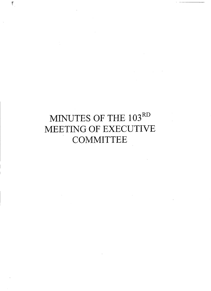# MINUTES OF THE 103RD MEETING OF EXECUTIVE **COMMITTEE**

 $\sim$   $\sim$ 

 $\label{eq:2.1} \frac{1}{\sqrt{2\pi}}\int_{\mathbb{R}^3}\frac{1}{\sqrt{2\pi}}\int_{\mathbb{R}^3}\frac{1}{\sqrt{2\pi}}\int_{\mathbb{R}^3}\frac{1}{\sqrt{2\pi}}\int_{\mathbb{R}^3}\frac{1}{\sqrt{2\pi}}\int_{\mathbb{R}^3}\frac{1}{\sqrt{2\pi}}\int_{\mathbb{R}^3}\frac{1}{\sqrt{2\pi}}\frac{1}{\sqrt{2\pi}}\int_{\mathbb{R}^3}\frac{1}{\sqrt{2\pi}}\frac{1}{\sqrt{2\pi}}\int_{\mathbb{R}^3}\frac{$ 

 $\sim 10^{-11}$ 

 $\label{eq:2.1} \frac{d\mathbf{y}}{d\mathbf{x}} = \frac{d\mathbf{y}}{d\mathbf{x}} \mathbf{y} + \frac{d\mathbf{y}}{d\mathbf{x}} \mathbf{y}$ 

 $\sum\limits_{i=1}^n$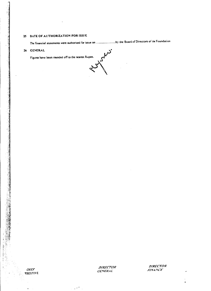# 25 DATE OF AUTHORIZATION FOR ISSUE

The financial statements were authorized for issue on .......................by the Board of Directors of the Foundation

#### 26 GENERAL  $\gamma$ <sup>\*</sup>

 $\ddot{\phantom{a}}$ 



 $\mathcal{L} \in \mathbb{R}^n$  .

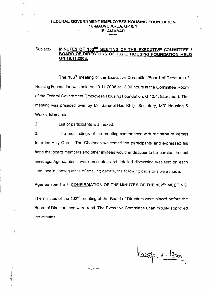# FEDERAL GOVERNMENT EMPLOYEES HOUSING FOUNDATION 10-MAUVE AREA. *G-1014* iSLAMABAD

# Subject- MINUTES OF 103<sup>RD</sup> MEETING OF THE EXECUTIVE COMMITTEE / BOARD OF DIRECTORS OF F.G.E. HOUSING FOUNDATION HELD ON 19.11.2008.

The 103<sup>rd</sup> meeting of the Executive Committee/Board of Directors of Housing Foundation was held on 19.11.2008 at 12.00 hours in the Committee Room of the Federal Government Employees Housing Foundation. G-10/4, Islamabad. The meeting was presided over by Mr. Sami-ul-Haq Khilji. Secretary, M/G Housing & Works, Islamabad.

2. List of participants is annexed.

, ,

3. The proceedings of the meeting commenced with recitation of verses from the Holy Ouran. The Chairman welcomed the participants and expressed his hope that board members and other invitees would endeavour to be punctual in next meetings. Agenda items were presented and detailed discussion was held on each item, and in consequence of ensuing debate, the following decisions were made.

### Agenda item No... CONFIRMATION OF THE MINUTES OF THE 102<sup>ND</sup> MEETING.

The minutes of the 102<sup>nd</sup> meeting of the Board of Directors were placed before the Board of Directors and were read. The Executive Committee unanimously approved the minutes.

-2-

 $k_{\text{cscap.}} + \frac{1}{2}$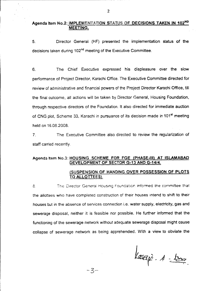# Agenda Item No.2: IMPLEMENTATION STATUS OF DECISIONS TAKEN IN 102ND MEETING.

5. Director General (HF) presented the implementation status of the decisions taken during 102<sup>nd</sup> meeting of the Executive Committee.

6. The Chief Executive expressed his displeasure over the slow performance of Project Director, Karachi Office. The Executive Committee directed for review of administrative and financial powers of the Project Director Karachi Office, till the final outcome, all actions will be taken by Director General, Housing Foundation, through respective directors of the Foundation. It also directed for immediate auction of CNG plot, Scheme 33, Karachi in pursuance of its decision made in 101<sup>st</sup> meeting held on 16.08.2008.

7. The Executive Committee also directed to review the regularization of staff carried recently.

### Agenda Item No.3: HOUSING SCHEME FOR FGE (PHASE-III) AT ISLAMABAD DEVELOPMENT OF SECTOR G-13 AND G-14/4.

### (SUSPENSION OF HANDING OVER POSSESSION OF PLOTS TO AlLOTTEES).

 $\mathbf{g}_1$ The Director General Housing Foundation informed the committee that the allottees who have completed construction of their houses mtend to shift to their houses but in the absence of services connection i.e. water supply, electricity, gas and sewerage disposal, neither it is feasible nor possible. He further informed that the functioning of the sewerage network without adequate sewerage disposal might cause collapse of sewerage network as being apprehended. With a view to obviate the

 $-3-$ 

Lacaj. 4 - 130.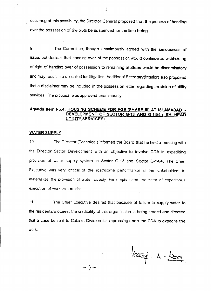occurring of this possibility, the Director General proposed that the process of handing over the possession of the piots be suspended for the time being.

9. The Committee, though unanimously agreed with the seriousness of issue, but decided that handing over of the possession would continue as withholding of right of handing over of possession to remaining allottees would be discriminatory and may result into un-called for litigation. Additional Secretary(lnterior) also proposed that a disclaimer may be included in the possession letter regarding provision of utility services. The proposal was approved unanimously.

## Agenda Item No.4: HOUSING SCHEME FOR FGE (PHASE-III) AT ISLAMABAD -DEVELOPMENT OF SECTOR G.13 AND G.1414 ( SH. HEAD UTILITY SERVICES).

#### WATER SUPPLY

10. The Director (Technical) informed the Board that he held a meeting with the Director Sector Development with an objective to involve CDA in expediting provision of water supply system in Sector G-13 and Sector G-14/4. The Chief Executive was very criticai of the :oathsome performance of the stakehoiders to matenalize the prOVIsion C1wa1e: supply He emphasizec the need *ot* expeditious execution of work on the site

11. The Chief Executive desired that because of failure to supply water to the residents/allottees, the credibility of this organization is being eroded and directed that a case be sent to Cabinet Division for impressing upon the COA to expedite the work.

*-'1-*

loozie. A-Lon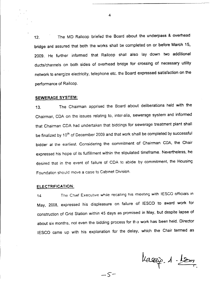12. The MD Railcop briefed the Board about the underpass & overhead bridge and assured that both the works shall be completed on or before March 15, 2009. He further informed that Railcop shall also lay down two additional ducts/channels on both sides of overhead bridge for crossing of necessary utility network to energize electricity, telephone etc. the Board expressed satisfaction on the performance of Railcop.

#### SEWERAGE SYSTEM:

13. The Chairman apprised the Board about deliberations held with the Chairman, COA on the issues relating to, inter-alia, sewerage system and informed that Chairman COA had undertaken that biddings for sewerage treatment plant shall be finalized by 10<sup>th</sup> of December 2009 and that work shall be completed by successful bidder at the earliest. Considering the commitment of Chairman COA. the Chair expressed his hope of its fulfillment within the stipulated timeframe. Nevertheless. he desired that in the event of failure of COA to abide by commitment, the Housing Foundation should move a case to Cabinet Division.

#### ELECTRIFICATION:

14 The Chief Executive while recalling his meeting with IESCO officials in May, 2008, expressed his displeasure on failure of IESCO to award work for construction of Grid Station within 45 days as promised in May, but despite lapse of about six months, not even the bidding process for the work has been held. Director IESCO came up with his explanation for the delay, which the Chair termed as

*-S'-*

lassig. A-Loss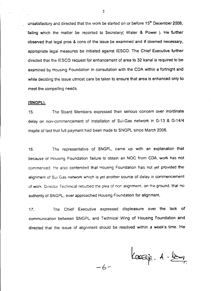unsatisfactory and directed that the work be started on or before  $15<sup>th</sup>$  December 2008. failing which the matter be reported to Secretary( Water & Power ). He further observed that legal pros & cons of the issue be examined and if deemed necessary. appropriate legal measures be initiated against IESCO. The Chief Executive further directed that the IESCO request for enhancement of area to 32 kanal is required to be examined by Housing Foundation in consultation with the CDA within a fortnight and while deciding the issue utmost care be taken to ensure that area is enhanced only to meet the compelling needs.

#### (SNGPL).

15. The Board Members expressed their serious concem over inordinate delay on non-commencement of installation of Sui-Gas network in G-13 & G-14/4 inspite of fact that full payment had been made to SNGPL since March 2006.

16. The representative of SNGPL, came up with an explanation that because of Housing Foundation failure to obtain an NOC from CDA, work has not commenced. He also contended that Housing Foundation has not yet provided the alignment of Sui Gas network which is yet another source of delay in commencement. of work. Director Technical rebutted the plea of non-alignment, on the ground, that no authority of SNGPL. ever approached Housing Foundation for alignment.

17. The Chief Executive expressed displeasure over the lack of communication between SNGPL and Technical Wing of Housing Foundation and directed that the issue of alignment should be resolved within a week's time. He

*-b-*

 $k$ aazie.  $4 - \frac{k}{2}$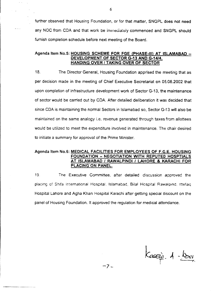further observed that Housing Foundation, or for that matter, SNGPL does not need any NOC from CDA and that work be immediately commenced and SNGPL should furnish completion schedule before next meeting of the Board.

#### Agenda Item No.5: HOUSING SCHEME FOR FGE (PHASE-III) AT ISLAMABAD -DEVELOPMENT OF SECTOR G-13 AND G-14/4. HANDING OVER *I* TAKING OVER OF SECTOR

18. The Director General, Housing Foundation apprised the meeting that as per decision made in the meeting of Chief Executive Secretariat on 05.08.2002 that upon completion of infrastructure development work of Sector G-13, the maintenance of sector would be carried out by COA. After detailed deliberation it was decided that since COA is maintaining the normal Sectors in Islamabad so, Sector G-13 will also be maintained on the same analogy i.e. revenue generated through taxes from allottees would be utilized to meet the expenditure involved in maintenance. The chair desired to initiate a summary for approval of the Prime Minister.

### Agenda Item NO.6: MEDICAL FACILITIES FOR EMPLOYEES OF F.G.E. HOUSING FOUNDATION - NEGOTIATION WITH REPUTED HOSPTIAlS AT ISLAMABAD / RAWALPINDI/LAHORE & KARACHI FOR PLACING"ON PANEL.

19. The Executive Committee. after detailed discussion approved the placing of Shlfa Internationa! Hospital. Islamabad, Bila! Hcspital Rawalplnc. Ittetaq Hospital Lahore and Agha Khan Hospital Karachi after getting special discount on the panel of Housing Foundation. It approved the regulation for medical attendance.

Kagaig 4 - leur

6

 $\sim$   $\sim$ 

 $-$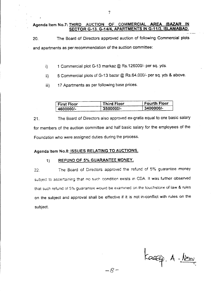## Agenda Item No.7: THIRD AUCTION OF COMMERCIAL AREA (BAZAR SECTOR G-13. *G-1414,* APARTMENTS IN G-11/3, ISLAMABAD.

20. The Board of Directors approved auction of following Commercial plots and apartments as per recommendation of the auction committee:

- i) 1 Commercial plot G-13 markaz @ Rs.126000/- per sq. yds.
- ii) 5 Commercial plots of G-13 bazar @ *RS.64,OOOf-* per sq. yds & above.
- iii) 17 Apartments as per following base prices.

| <b>First Floor</b> | Third Floor          | <b>Fourth Floor</b> |
|--------------------|----------------------|---------------------|
| $-4600000$ /-      | $^{\circ}$ 3500000/- | $3400000/-$         |

21. The Board of Directors also approved ex-gratia equal to one basic salary for members of the auction committee and half basic salary for the employees of the Foundation who were assigned duties during the process.

# Agenda Item No.8: ISSUES RELATING TO AUCTIONS.

#### 1) REFUND OF 5% GUARANTEE MONEY.

 $22.$ The Board of Directors approved the refund of 5% guarantee money subject to ascertaining that no such condition exists in CDA. It was further observed that such refund of 5% guarantee would be examined on the touchstone of law & rules on the subject and approval shall be effective if it is not in-conflict with rules on the subject.

Kassaip. A-1200

-8-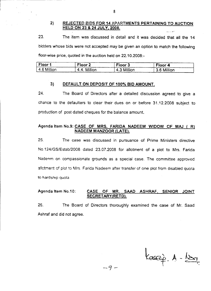#### 2) REJECTED BIDS FOR 14 APARTMENTS PERTAINING TO AUCTION **HELD ON 23 & 24 JULY, 2008.**

23. The item was discussed in detail and it was decided that all the 14 bidders whose bids were not accepted may be given an option to match the following floor-wise price, quoted in the auction held on 22.10.2008:-

| Floor 1     | Floor <sub>2</sub> | Floor 3     | Floor 4           |
|-------------|--------------------|-------------|-------------------|
| 4.6 Million | 4.4. Million       | 4.3 Million | --<br>3.6 Million |

#### 3) DEFAULT ON DEPOSIT OF 100% BID AMOUNT.

24. The Board of Directors after a detailed discussion agreed to give a chance to the defaulters to clear their dues on or before 31.12.2008 subject to production of post dated cheques for the balance amount.

#### Agenda Item No.9: CASE OF MRS. FARIDA NADEEM WIDOW OF MAJ (R) NADEEM MANZOOR (LATE).

25. The case was discussed in pursuance of Prime Ministers directive NO.124/GS/Estab/2008 dated 23.07.2008 for allotment of a plot to Mrs. Farida Nadeem on compassionate grounds as a special case. The committee approved allotment of plot to Mrs. Farida Nadeem after transfer of one plot from disabled quota to hardship quota

### Agenda Item NO.10: CASE OF MR. SAAD ASHRAF, SENIOR JOINT SECRETARY(RETD).

26. The Board of Directors thoroughly examined the case of Mr. Saad Ashraf and did not agree.

 $A - \underline{\mathsf{Ker}}$ 

--9 -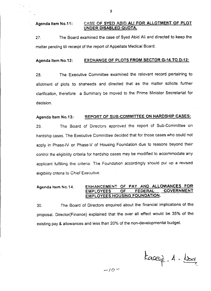#### Agenda Item NO.11: CASE OF SYED ABID ALI FOR ALLOTMENT OF PLOT UNDER DISABLED QUOTA.

27. The Board examined the case of Syed Abid Ali and directed to keep the matter pending till receipt of the report of Appellate Medical Board.

#### Agenda Item No.12: EXCHANGE OF PLOTS FROM SECTOR G-14 TO D-12:

28. The Executive Committee examined the relevant record pertaining to allotment of plots to shaheeds and directed that as the matter solicits further clarification, therefore a Summary be moved to the Prime Minister Secretariat for decision.

# Agenda Item No.13: REPORT OF SUB-COMMITTEE ON HARDSHIP CASES:

29. The Board of Directors approved the report of Sub-Committee on hardship cases. The Executive Committee decided that for those cases who could not apply in Phase-IV or Phase-V of Housing Foundation due to reasons beyond their control the eligibility criteria for hardship cases may be modified to accommodate any applicant fulfilling the criteria. The Foundation accordingly should put up a revised eligibility criteria to Chief Executive.

## Agenda Item No.14: ENHANCEMENT OF PAY AND ALLOWANCES FOR<br>FMPLOYEES OF FEDERAL GOVERNMENT EMPLOYEES OF FEDERAL EMPLOYEES HOUSING FOUNDATION.

30. The Board of Directors enquired about the financial implications of the proposal. Director(Finance) explained that the over all effect would be 35% of the existing pay & allowances and less than 20% of the non-developmental budget.

tacaj. 1-1007

 $-10-$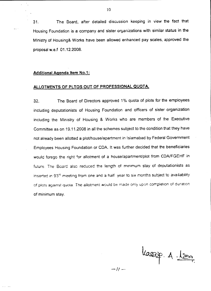31. The Board, after detailed discussion keeping in view the fact that Housing Foundation is a company and sister organizations with similar status in the Ministry of Housing& Works have been allowed enhanced pay scales. approved the proposal w.e.f 01.12.2008.

#### Additional Agenda Item NO.1:

# ALLOTMENTS OF PLTOS OUT OF PROFESSIONAL QUOTA.

32. The Board of Directors approved 1% quota of plots for the employees including deputationists of Housing Foundation and officers of sister organization including the Ministry of Housing & Works who are members of the Executive Committee as on 19.11.2008 in all the schemes subject to the condition that they have not already been allotted a plot/house/apartment in Islamabad by Federal Government Employees Housing Foundation or COA. It was further decided that the beneficiaries would forego the right for allotment of a house/apartment/plot from CDA/FGEHF in future. The Board also reduced the length of minimum stay of deputationists as inserted in 93 $^{\circ}$  meeting from one and a half year to six months subject to availability of plots against quota. The ailotment would be made only upon completion of duration. of minimum stay.

*--/I -*

- JG ..- r.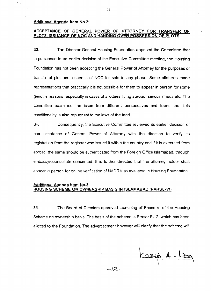#### Additional Agenda Item No.2:

#### ACCEPTANCE OF GENERAL POWER OF ATTORNEY FOR TRANSFER OF PLOTS, ISSUANCE OF NOC AND HANDING OVER POSSESSION OF PLOTS.

33. The Director General Housing Foundation apprised the Committee that in pursuance to an earlier decision of the Executive Committee meeting, the Housing Foundation has nat been accepting the General Power of Attorney for the purposes of transfer of plat and issuance of NOC for sale in any phase. Some allottees made representations that practically it is not possible for them to appear in person for some genuine reasons, especially in cases of allottees living abroad, serious illness etc. The committee examined the issue from different perspectives and found that this conditionality is also repugnant to the laws of the land.

34. Consequently, the Executive Committee reviewed its earlier decision of non-acceptance of General Power of Attorney with the direction to verify its registration from the registrar who issued it within the country and if it is executed from abroad, the same should be authenticated from the Foreign Office Islamabad, through embassy/counsellate concerned. It is further directed that the attorney holder shall appear in person for online verification of NADRA as available in Housing Foundation.

#### Additional Aqenda Item NO.3: HOUSING SCHEME ON OWNERSHIP BASIS IN ISLAMABAD (PAHSE-VI}

35. The Board of Directors approved launching of Phase-VI of the Housing Scheme on ownership basis. The basis of the scheme is Sector F-12, which has been allotted to the Foundation. The advertisement however will clarify that the scheme will

Karap A-Lou

 $-12 -$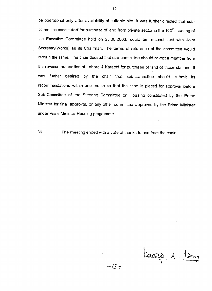be operational only after availability of suitable site. It was further directed that subcommittee constituted for purchase of land from private sector in the 100<sup>th</sup> meeting of the Executive Committee held on 26.06.2008. would be re-constituted with Joint Secretary(Works) as its Chairman. The terms of reference of the committee would remain the same. The chair desired that sub-committee should co-opt a member from the revenue authorities at Lahore & Karachi for purchase of land of those stations. It was further desired by the chair that sub-committee should submit its recommendations within one month so that the case is placed for approval before Sub-Committee of the Steering Committee on Housing constituted by the Prime Minister for final approval, or any other committee approved by the Prime Minister under Prime Minister Housing programme

36. The meeting ended with a vote of thanks to and from the chair.

taap 1-lis

 $-13-$